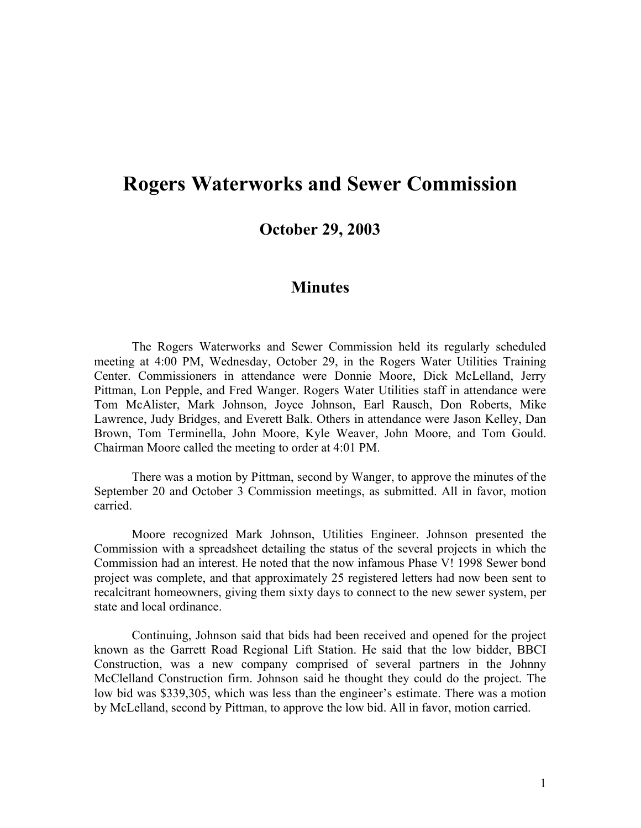## **Rogers Waterworks and Sewer Commission**

**October 29, 2003**

## **Minutes**

The Rogers Waterworks and Sewer Commission held its regularly scheduled meeting at 4:00 PM, Wednesday, October 29, in the Rogers Water Utilities Training Center. Commissioners in attendance were Donnie Moore, Dick McLelland, Jerry Pittman, Lon Pepple, and Fred Wanger. Rogers Water Utilities staff in attendance were Tom McAlister, Mark Johnson, Joyce Johnson, Earl Rausch, Don Roberts, Mike Lawrence, Judy Bridges, and Everett Balk. Others in attendance were Jason Kelley, Dan Brown, Tom Terminella, John Moore, Kyle Weaver, John Moore, and Tom Gould. Chairman Moore called the meeting to order at 4:01 PM.

There was a motion by Pittman, second by Wanger, to approve the minutes of the September 20 and October 3 Commission meetings, as submitted. All in favor, motion carried.

Moore recognized Mark Johnson, Utilities Engineer. Johnson presented the Commission with a spreadsheet detailing the status of the several projects in which the Commission had an interest. He noted that the now infamous Phase V! 1998 Sewer bond project was complete, and that approximately 25 registered letters had now been sent to recalcitrant homeowners, giving them sixty days to connect to the new sewer system, per state and local ordinance.

Continuing, Johnson said that bids had been received and opened for the project known as the Garrett Road Regional Lift Station. He said that the low bidder, BBCI Construction, was a new company comprised of several partners in the Johnny McClelland Construction firm. Johnson said he thought they could do the project. The low bid was \$339,305, which was less than the engineer's estimate. There was a motion by McLelland, second by Pittman, to approve the low bid. All in favor, motion carried.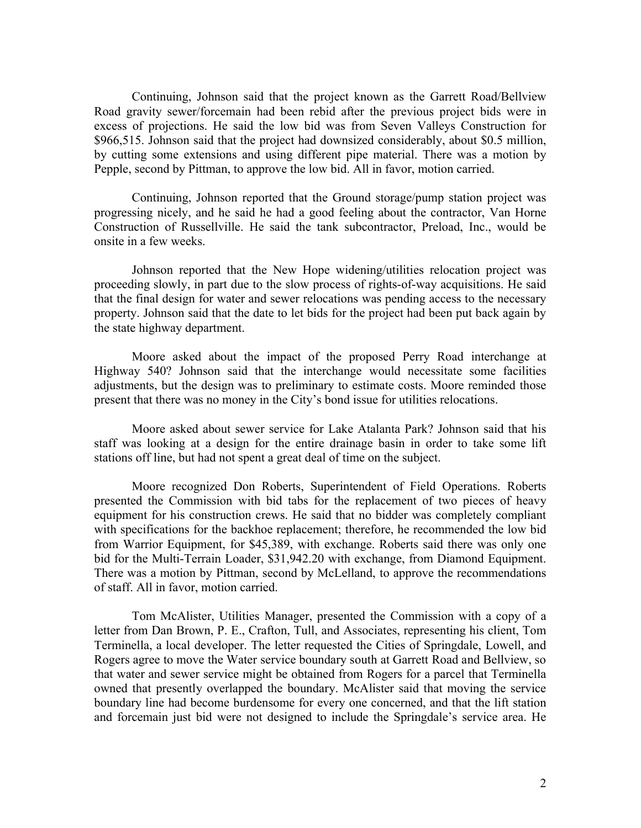Continuing, Johnson said that the project known as the Garrett Road/Bellview Road gravity sewer/forcemain had been rebid after the previous project bids were in excess of projections. He said the low bid was from Seven Valleys Construction for \$966,515. Johnson said that the project had downsized considerably, about \$0.5 million, by cutting some extensions and using different pipe material. There was a motion by Pepple, second by Pittman, to approve the low bid. All in favor, motion carried.

Continuing, Johnson reported that the Ground storage/pump station project was progressing nicely, and he said he had a good feeling about the contractor, Van Horne Construction of Russellville. He said the tank subcontractor, Preload, Inc., would be onsite in a few weeks.

Johnson reported that the New Hope widening/utilities relocation project was proceeding slowly, in part due to the slow process of rights-of-way acquisitions. He said that the final design for water and sewer relocations was pending access to the necessary property. Johnson said that the date to let bids for the project had been put back again by the state highway department.

Moore asked about the impact of the proposed Perry Road interchange at Highway 540? Johnson said that the interchange would necessitate some facilities adjustments, but the design was to preliminary to estimate costs. Moore reminded those present that there was no money in the City's bond issue for utilities relocations.

Moore asked about sewer service for Lake Atalanta Park? Johnson said that his staff was looking at a design for the entire drainage basin in order to take some lift stations off line, but had not spent a great deal of time on the subject.

Moore recognized Don Roberts, Superintendent of Field Operations. Roberts presented the Commission with bid tabs for the replacement of two pieces of heavy equipment for his construction crews. He said that no bidder was completely compliant with specifications for the backhoe replacement; therefore, he recommended the low bid from Warrior Equipment, for \$45,389, with exchange. Roberts said there was only one bid for the Multi-Terrain Loader, \$31,942.20 with exchange, from Diamond Equipment. There was a motion by Pittman, second by McLelland, to approve the recommendations of staff. All in favor, motion carried.

Tom McAlister, Utilities Manager, presented the Commission with a copy of a letter from Dan Brown, P. E., Crafton, Tull, and Associates, representing his client, Tom Terminella, a local developer. The letter requested the Cities of Springdale, Lowell, and Rogers agree to move the Water service boundary south at Garrett Road and Bellview, so that water and sewer service might be obtained from Rogers for a parcel that Terminella owned that presently overlapped the boundary. McAlister said that moving the service boundary line had become burdensome for every one concerned, and that the lift station and forcemain just bid were not designed to include the Springdale's service area. He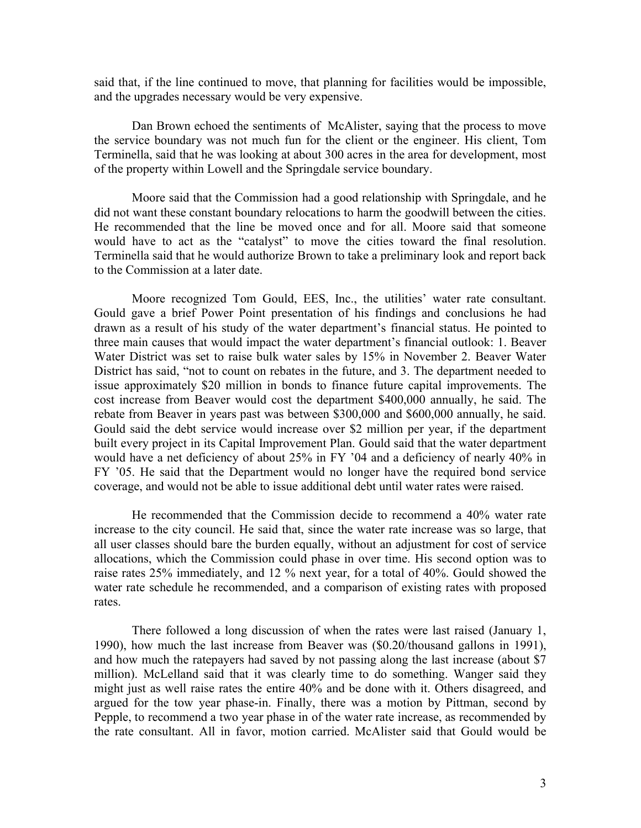said that, if the line continued to move, that planning for facilities would be impossible, and the upgrades necessary would be very expensive.

Dan Brown echoed the sentiments of McAlister, saying that the process to move the service boundary was not much fun for the client or the engineer. His client, Tom Terminella, said that he was looking at about 300 acres in the area for development, most of the property within Lowell and the Springdale service boundary.

Moore said that the Commission had a good relationship with Springdale, and he did not want these constant boundary relocations to harm the goodwill between the cities. He recommended that the line be moved once and for all. Moore said that someone would have to act as the "catalyst" to move the cities toward the final resolution. Terminella said that he would authorize Brown to take a preliminary look and report back to the Commission at a later date.

Moore recognized Tom Gould, EES, Inc., the utilities' water rate consultant. Gould gave a brief Power Point presentation of his findings and conclusions he had drawn as a result of his study of the water department's financial status. He pointed to three main causes that would impact the water department's financial outlook: 1. Beaver Water District was set to raise bulk water sales by 15% in November 2. Beaver Water District has said, "not to count on rebates in the future, and 3. The department needed to issue approximately \$20 million in bonds to finance future capital improvements. The cost increase from Beaver would cost the department \$400,000 annually, he said. The rebate from Beaver in years past was between \$300,000 and \$600,000 annually, he said. Gould said the debt service would increase over \$2 million per year, if the department built every project in its Capital Improvement Plan. Gould said that the water department would have a net deficiency of about 25% in FY '04 and a deficiency of nearly 40% in FY '05. He said that the Department would no longer have the required bond service coverage, and would not be able to issue additional debt until water rates were raised.

He recommended that the Commission decide to recommend a 40% water rate increase to the city council. He said that, since the water rate increase was so large, that all user classes should bare the burden equally, without an adjustment for cost of service allocations, which the Commission could phase in over time. His second option was to raise rates 25% immediately, and 12 % next year, for a total of 40%. Gould showed the water rate schedule he recommended, and a comparison of existing rates with proposed rates.

There followed a long discussion of when the rates were last raised (January 1, 1990), how much the last increase from Beaver was (\$0.20/thousand gallons in 1991), and how much the ratepayers had saved by not passing along the last increase (about \$7 million). McLelland said that it was clearly time to do something. Wanger said they might just as well raise rates the entire 40% and be done with it. Others disagreed, and argued for the tow year phase-in. Finally, there was a motion by Pittman, second by Pepple, to recommend a two year phase in of the water rate increase, as recommended by the rate consultant. All in favor, motion carried. McAlister said that Gould would be